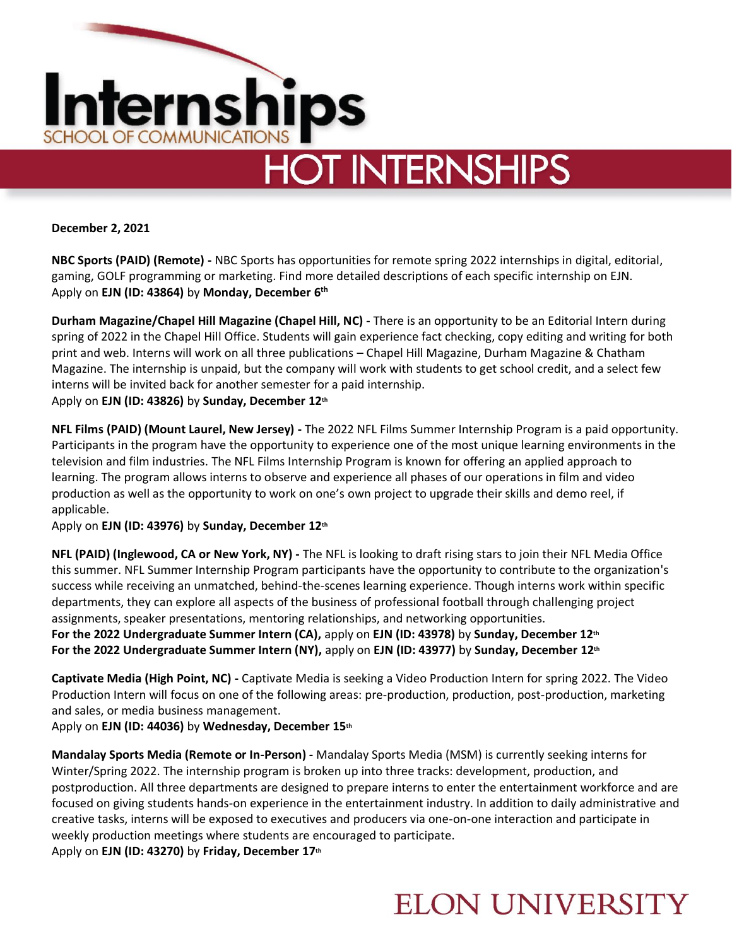

**December 2, 2021**

**NBC Sports (PAID) (Remote) -** NBC Sports has opportunities for remote spring 2022 internships in digital, editorial, gaming, GOLF programming or marketing. Find more detailed descriptions of each specific internship on EJN. Apply on **EJN (ID: 43864)** by **Monday, December 6 th**

**Durham Magazine/Chapel Hill Magazine (Chapel Hill, NC) -** There is an opportunity to be an Editorial Intern during spring of 2022 in the Chapel Hill Office. Students will gain experience fact checking, copy editing and writing for both print and web. Interns will work on all three publications – Chapel Hill Magazine, Durham Magazine & Chatham Magazine. The internship is unpaid, but the company will work with students to get school credit, and a select few interns will be invited back for another semester for a paid internship. Apply on **EJN (ID: 43826)** by **Sunday, December 12th**

**NFL Films (PAID) (Mount Laurel, New Jersey) -** The 2022 NFL Films Summer Internship Program is a paid opportunity. Participants in the program have the opportunity to experience one of the most unique learning environments in the television and film industries. The NFL Films Internship Program is known for offering an applied approach to learning. The program allows interns to observe and experience all phases of our operations in film and video production as well as the opportunity to work on one's own project to upgrade their skills and demo reel, if applicable.

Apply on **EJN (ID: 43976)** by **Sunday, December 12th**

**NFL (PAID) (Inglewood, CA or New York, NY) -** The NFL is looking to draft rising stars to join their NFL Media Office this summer. NFL Summer Internship Program participants have the opportunity to contribute to the organization's success while receiving an unmatched, behind-the-scenes learning experience. Though interns work within specific departments, they can explore all aspects of the business of professional football through challenging project assignments, speaker presentations, mentoring relationships, and networking opportunities. **For the 2022 Undergraduate Summer Intern (CA),** apply on **EJN (ID: 43978)** by **Sunday, December 12th**

**For the 2022 Undergraduate Summer Intern (NY),** apply on **EJN (ID: 43977)** by **Sunday, December 12th**

**Captivate Media (High Point, NC) -** Captivate Media is seeking a Video Production Intern for spring 2022. The Video Production Intern will focus on one of the following areas: pre-production, production, post-production, marketing and sales, or media business management.

Apply on **EJN (ID: 44036)** by **Wednesday, December 15th**

**Mandalay Sports Media (Remote or In-Person) -** Mandalay Sports Media (MSM) is currently seeking interns for Winter/Spring 2022. The internship program is broken up into three tracks: development, production, and postproduction. All three departments are designed to prepare interns to enter the entertainment workforce and are focused on giving students hands-on experience in the entertainment industry. In addition to daily administrative and creative tasks, interns will be exposed to executives and producers via one-on-one interaction and participate in weekly production meetings where students are encouraged to participate.

Apply on **EJN (ID: 43270)** by **Friday, December 17th**

### **ELON UNIVERSITY**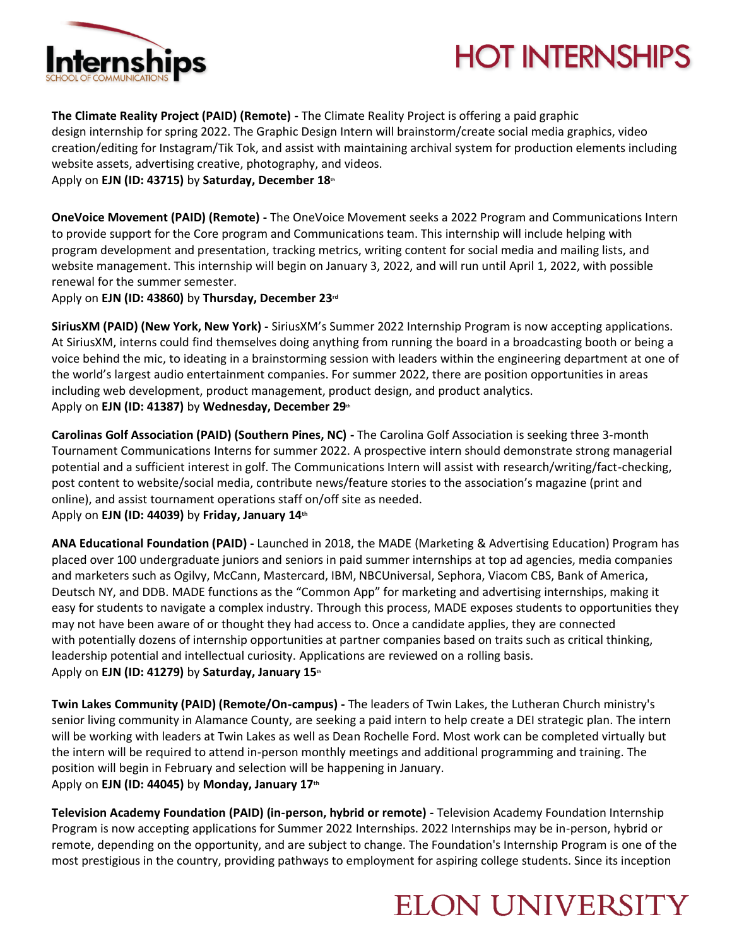

# **HOT INTERNSHIPS**

**The Climate Reality Project (PAID) (Remote) -** The Climate Reality Project is offering a paid graphic design internship for spring 2022. The Graphic Design Intern will brainstorm/create social media graphics, video creation/editing for Instagram/Tik Tok, and assist with maintaining archival system for production elements including website assets, advertising creative, photography, and videos.

Apply on **EJN (ID: 43715)** by **Saturday, December 18th**

**OneVoice Movement (PAID) (Remote) -** The OneVoice Movement seeks a 2022 Program and Communications Intern to provide support for the Core program and Communications team. This internship will include helping with program development and presentation, tracking metrics, writing content for social media and mailing lists, and website management. This internship will begin on January 3, 2022, and will run until April 1, 2022, with possible renewal for the summer semester.

Apply on **EJN (ID: 43860)** by **Thursday, December 23rd**

**SiriusXM (PAID) (New York, New York) -** SiriusXM's Summer 2022 Internship Program is now accepting applications. At SiriusXM, interns could find themselves doing anything from running the board in a broadcasting booth or being a voice behind the mic, to ideating in a brainstorming session with leaders within the engineering department at one of the world's largest audio entertainment companies. For summer 2022, there are position opportunities in areas including web development, product management, product design, and product analytics. Apply on **EJN (ID: 41387)** by **Wednesday, December 29th**

**Carolinas Golf Association (PAID) (Southern Pines, NC) -** The Carolina Golf Association is seeking three 3-month Tournament Communications Interns for summer 2022. A prospective intern should demonstrate strong managerial potential and a sufficient interest in golf. The Communications Intern will assist with research/writing/fact-checking, post content to website/social media, contribute news/feature stories to the association's magazine (print and online), and assist tournament operations staff on/off site as needed. Apply on **EJN (ID: 44039)** by **Friday, January 14th**

**ANA Educational Foundation (PAID) -** Launched in 2018, the MADE (Marketing & Advertising Education) Program has placed over 100 undergraduate juniors and seniors in paid summer internships at top ad agencies, media companies and marketers such as Ogilvy, McCann, Mastercard, IBM, NBCUniversal, Sephora, Viacom CBS, Bank of America, Deutsch NY, and DDB. MADE functions as the "Common App" for marketing and advertising internships, making it easy for students to navigate a complex industry. Through this process, MADE exposes students to opportunities they may not have been aware of or thought they had access to. Once a candidate applies, they are connected with potentially dozens of internship opportunities at partner companies based on traits such as critical thinking, leadership potential and intellectual curiosity. Applications are reviewed on a rolling basis. Apply on **EJN (ID: 41279)** by **Saturday, January 15th**

**Twin Lakes Community (PAID) (Remote/On-campus) -** The leaders of Twin Lakes, the Lutheran Church ministry's senior living community in Alamance County, are seeking a paid intern to help create a DEI strategic plan. The intern will be working with leaders at Twin Lakes as well as Dean Rochelle Ford. Most work can be completed virtually but the intern will be required to attend in-person monthly meetings and additional programming and training. The position will begin in February and selection will be happening in January. Apply on **EJN (ID: 44045)** by **Monday, January 17th**

**Television Academy Foundation (PAID) (in-person, hybrid or remote) -** Television Academy Foundation Internship Program is now accepting applications for Summer 2022 Internships. 2022 Internships may be in-person, hybrid or remote, depending on the opportunity, and are subject to change. The Foundation's Internship Program is one of the most prestigious in the country, providing pathways to employment for aspiring college students. Since its inception

## **ELON UNIVERSITY**